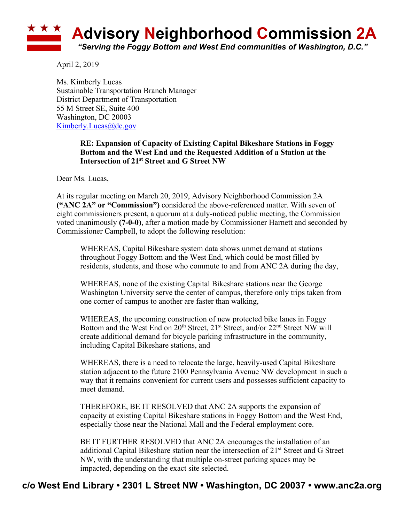

April 2, 2019

Ms. Kimberly Lucas Sustainable Transportation Branch Manager District Department of Transportation 55 M Street SE, Suite 400 Washington, DC 20003 Kimberly.Lucas@dc.gov

## **RE: Expansion of Capacity of Existing Capital Bikeshare Stations in Foggy Bottom and the West End and the Requested Addition of a Station at the Intersection of 21st Street and G Street NW**

Dear Ms. Lucas,

At its regular meeting on March 20, 2019, Advisory Neighborhood Commission 2A **("ANC 2A" or "Commission")** considered the above-referenced matter. With seven of eight commissioners present, a quorum at a duly-noticed public meeting, the Commission voted unanimously **(7-0-0)**, after a motion made by Commissioner Harnett and seconded by Commissioner Campbell, to adopt the following resolution:

WHEREAS, Capital Bikeshare system data shows unmet demand at stations throughout Foggy Bottom and the West End, which could be most filled by residents, students, and those who commute to and from ANC 2A during the day,

WHEREAS, none of the existing Capital Bikeshare stations near the George Washington University serve the center of campus, therefore only trips taken from one corner of campus to another are faster than walking,

WHEREAS, the upcoming construction of new protected bike lanes in Foggy Bottom and the West End on 20<sup>th</sup> Street, 21<sup>st</sup> Street, and/or 22<sup>nd</sup> Street NW will create additional demand for bicycle parking infrastructure in the community, including Capital Bikeshare stations, and

WHEREAS, there is a need to relocate the large, heavily-used Capital Bikeshare station adjacent to the future 2100 Pennsylvania Avenue NW development in such a way that it remains convenient for current users and possesses sufficient capacity to meet demand.

THEREFORE, BE IT RESOLVED that ANC 2A supports the expansion of capacity at existing Capital Bikeshare stations in Foggy Bottom and the West End, especially those near the National Mall and the Federal employment core.

BE IT FURTHER RESOLVED that ANC 2A encourages the installation of an additional Capital Bikeshare station near the intersection of 21<sup>st</sup> Street and G Street NW, with the understanding that multiple on-street parking spaces may be impacted, depending on the exact site selected.